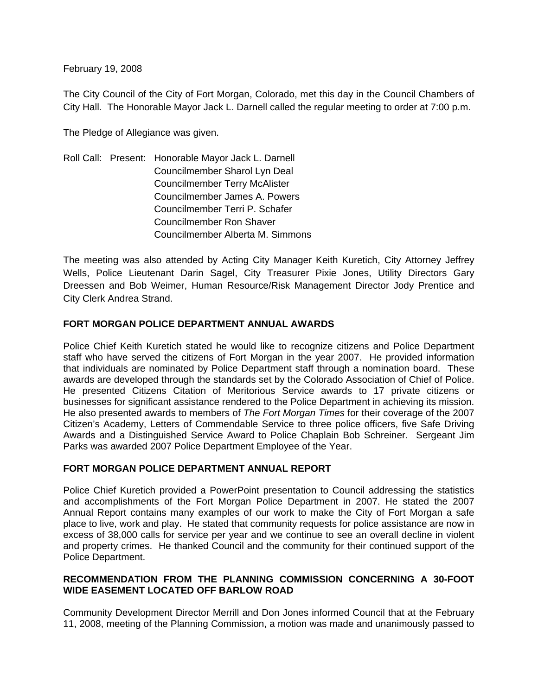February 19, 2008

The City Council of the City of Fort Morgan, Colorado, met this day in the Council Chambers of City Hall. The Honorable Mayor Jack L. Darnell called the regular meeting to order at 7:00 p.m.

The Pledge of Allegiance was given.

Roll Call: Present: Honorable Mayor Jack L. Darnell Councilmember Sharol Lyn Deal Councilmember Terry McAlister Councilmember James A. Powers Councilmember Terri P. Schafer Councilmember Ron Shaver Councilmember Alberta M. Simmons

The meeting was also attended by Acting City Manager Keith Kuretich, City Attorney Jeffrey Wells, Police Lieutenant Darin Sagel, City Treasurer Pixie Jones, Utility Directors Gary Dreessen and Bob Weimer, Human Resource/Risk Management Director Jody Prentice and City Clerk Andrea Strand.

### **FORT MORGAN POLICE DEPARTMENT ANNUAL AWARDS**

Police Chief Keith Kuretich stated he would like to recognize citizens and Police Department staff who have served the citizens of Fort Morgan in the year 2007. He provided information that individuals are nominated by Police Department staff through a nomination board. These awards are developed through the standards set by the Colorado Association of Chief of Police. He presented Citizens Citation of Meritorious Service awards to 17 private citizens or businesses for significant assistance rendered to the Police Department in achieving its mission. He also presented awards to members of *The Fort Morgan Times* for their coverage of the 2007 Citizen's Academy, Letters of Commendable Service to three police officers, five Safe Driving Awards and a Distinguished Service Award to Police Chaplain Bob Schreiner. Sergeant Jim Parks was awarded 2007 Police Department Employee of the Year.

### **FORT MORGAN POLICE DEPARTMENT ANNUAL REPORT**

Police Chief Kuretich provided a PowerPoint presentation to Council addressing the statistics and accomplishments of the Fort Morgan Police Department in 2007. He stated the 2007 Annual Report contains many examples of our work to make the City of Fort Morgan a safe place to live, work and play. He stated that community requests for police assistance are now in excess of 38,000 calls for service per year and we continue to see an overall decline in violent and property crimes. He thanked Council and the community for their continued support of the Police Department.

## **RECOMMENDATION FROM THE PLANNING COMMISSION CONCERNING A 30-FOOT WIDE EASEMENT LOCATED OFF BARLOW ROAD**

Community Development Director Merrill and Don Jones informed Council that at the February 11, 2008, meeting of the Planning Commission, a motion was made and unanimously passed to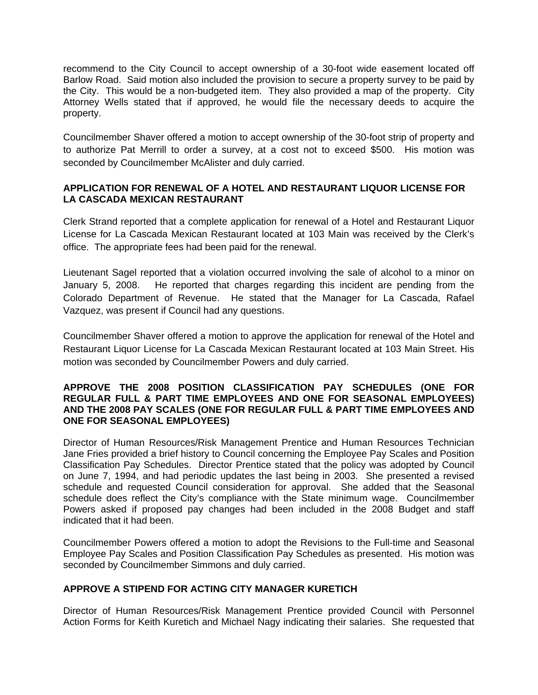recommend to the City Council to accept ownership of a 30-foot wide easement located off Barlow Road. Said motion also included the provision to secure a property survey to be paid by the City. This would be a non-budgeted item. They also provided a map of the property. City Attorney Wells stated that if approved, he would file the necessary deeds to acquire the property.

Councilmember Shaver offered a motion to accept ownership of the 30-foot strip of property and to authorize Pat Merrill to order a survey, at a cost not to exceed \$500. His motion was seconded by Councilmember McAlister and duly carried.

## **APPLICATION FOR RENEWAL OF A HOTEL AND RESTAURANT LIQUOR LICENSE FOR LA CASCADA MEXICAN RESTAURANT**

Clerk Strand reported that a complete application for renewal of a Hotel and Restaurant Liquor License for La Cascada Mexican Restaurant located at 103 Main was received by the Clerk's office. The appropriate fees had been paid for the renewal.

Lieutenant Sagel reported that a violation occurred involving the sale of alcohol to a minor on January 5, 2008. He reported that charges regarding this incident are pending from the Colorado Department of Revenue. He stated that the Manager for La Cascada, Rafael Vazquez, was present if Council had any questions.

Councilmember Shaver offered a motion to approve the application for renewal of the Hotel and Restaurant Liquor License for La Cascada Mexican Restaurant located at 103 Main Street. His motion was seconded by Councilmember Powers and duly carried.

### **APPROVE THE 2008 POSITION CLASSIFICATION PAY SCHEDULES (ONE FOR REGULAR FULL & PART TIME EMPLOYEES AND ONE FOR SEASONAL EMPLOYEES) AND THE 2008 PAY SCALES (ONE FOR REGULAR FULL & PART TIME EMPLOYEES AND ONE FOR SEASONAL EMPLOYEES)**

Director of Human Resources/Risk Management Prentice and Human Resources Technician Jane Fries provided a brief history to Council concerning the Employee Pay Scales and Position Classification Pay Schedules. Director Prentice stated that the policy was adopted by Council on June 7, 1994, and had periodic updates the last being in 2003. She presented a revised schedule and requested Council consideration for approval. She added that the Seasonal schedule does reflect the City's compliance with the State minimum wage. Councilmember Powers asked if proposed pay changes had been included in the 2008 Budget and staff indicated that it had been.

Councilmember Powers offered a motion to adopt the Revisions to the Full-time and Seasonal Employee Pay Scales and Position Classification Pay Schedules as presented. His motion was seconded by Councilmember Simmons and duly carried.

## **APPROVE A STIPEND FOR ACTING CITY MANAGER KURETICH**

Director of Human Resources/Risk Management Prentice provided Council with Personnel Action Forms for Keith Kuretich and Michael Nagy indicating their salaries. She requested that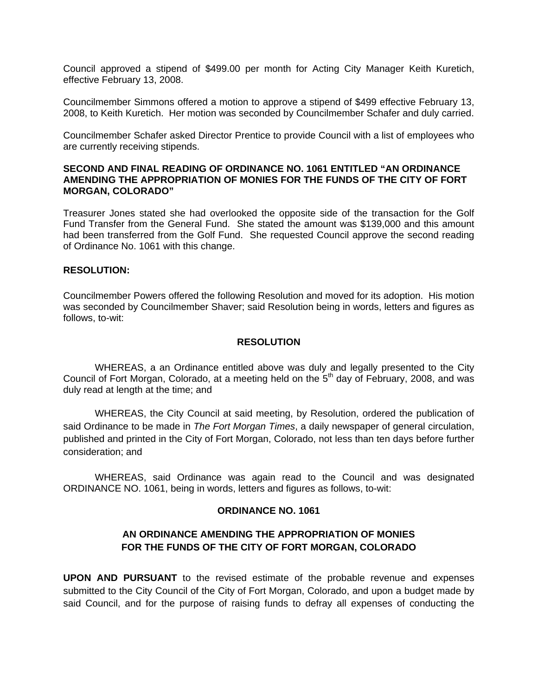Council approved a stipend of \$499.00 per month for Acting City Manager Keith Kuretich, effective February 13, 2008.

Councilmember Simmons offered a motion to approve a stipend of \$499 effective February 13, 2008, to Keith Kuretich. Her motion was seconded by Councilmember Schafer and duly carried.

Councilmember Schafer asked Director Prentice to provide Council with a list of employees who are currently receiving stipends.

### **SECOND AND FINAL READING OF ORDINANCE NO. 1061 ENTITLED "AN ORDINANCE AMENDING THE APPROPRIATION OF MONIES FOR THE FUNDS OF THE CITY OF FORT MORGAN, COLORADO"**

Treasurer Jones stated she had overlooked the opposite side of the transaction for the Golf Fund Transfer from the General Fund. She stated the amount was \$139,000 and this amount had been transferred from the Golf Fund. She requested Council approve the second reading of Ordinance No. 1061 with this change.

### **RESOLUTION:**

Councilmember Powers offered the following Resolution and moved for its adoption. His motion was seconded by Councilmember Shaver; said Resolution being in words, letters and figures as follows, to-wit:

#### **RESOLUTION**

 WHEREAS, a an Ordinance entitled above was duly and legally presented to the City Council of Fort Morgan, Colorado, at a meeting held on the 5<sup>th</sup> day of February, 2008, and was duly read at length at the time; and

 WHEREAS, the City Council at said meeting, by Resolution, ordered the publication of said Ordinance to be made in *The Fort Morgan Times*, a daily newspaper of general circulation, published and printed in the City of Fort Morgan, Colorado, not less than ten days before further consideration; and

 WHEREAS, said Ordinance was again read to the Council and was designated ORDINANCE NO. 1061, being in words, letters and figures as follows, to-wit:

### **ORDINANCE NO. 1061**

## **AN ORDINANCE AMENDING THE APPROPRIATION OF MONIES FOR THE FUNDS OF THE CITY OF FORT MORGAN, COLORADO**

**UPON AND PURSUANT** to the revised estimate of the probable revenue and expenses submitted to the City Council of the City of Fort Morgan, Colorado, and upon a budget made by said Council, and for the purpose of raising funds to defray all expenses of conducting the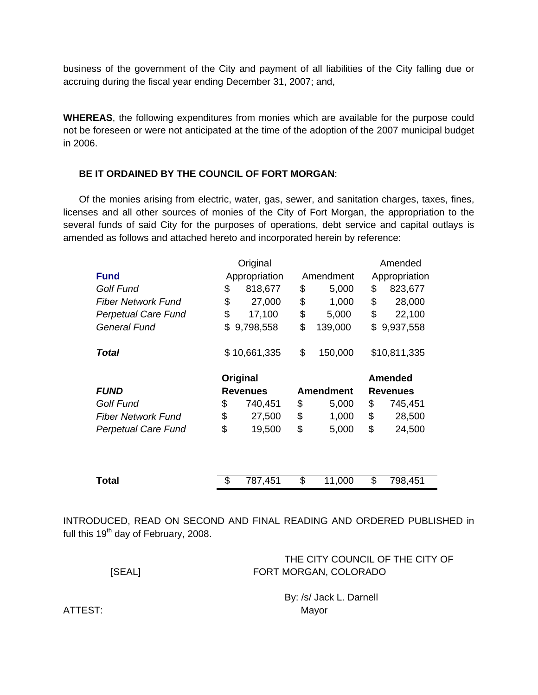business of the government of the City and payment of all liabilities of the City falling due or accruing during the fiscal year ending December 31, 2007; and,

**WHEREAS**, the following expenditures from monies which are available for the purpose could not be foreseen or were not anticipated at the time of the adoption of the 2007 municipal budget in 2006.

### **BE IT ORDAINED BY THE COUNCIL OF FORT MORGAN**:

 Of the monies arising from electric, water, gas, sewer, and sanitation charges, taxes, fines, licenses and all other sources of monies of the City of Fort Morgan, the appropriation to the several funds of said City for the purposes of operations, debt service and capital outlays is amended as follows and attached hereto and incorporated herein by reference:

|                            | Original      |                 |                                     | Amended |               |                |
|----------------------------|---------------|-----------------|-------------------------------------|---------|---------------|----------------|
| <b>Fund</b>                | Appropriation |                 | Amendment                           |         | Appropriation |                |
| Golf Fund                  | \$            | 818,677         | \$                                  | 5,000   | \$            | 823,677        |
| Fiber Network Fund         | \$            | 27,000          | \$                                  | 1,000   | \$            | 28,000         |
| <b>Perpetual Care Fund</b> | \$            | 17,100          | \$                                  | 5,000   | \$            | 22,100         |
| General Fund               | \$            | 9,798,558       | \$                                  | 139,000 | \$            | 9,937,558      |
| Total                      |               | \$10,661,335    | \$                                  | 150,000 |               | \$10,811,335   |
|                            |               | Original        |                                     |         |               | <b>Amended</b> |
| <b>FUND</b>                |               | <b>Revenues</b> | <b>Amendment</b><br><b>Revenues</b> |         |               |                |
| <b>Golf Fund</b>           | \$            | 740,451         | \$                                  | 5,000   | \$            | 745,451        |
| <b>Fiber Network Fund</b>  | \$            | 27,500          | \$                                  | 1,000   | \$            | 28,500         |
| <b>Perpetual Care Fund</b> | \$            | 19,500          | \$                                  | 5,000   | \$            | 24,500         |
|                            |               |                 |                                     |         |               |                |
| Total                      | \$            | 787,451         | \$                                  | 11,000  | \$            | 798,451        |

INTRODUCED, READ ON SECOND AND FINAL READING AND ORDERED PUBLISHED in full this 19<sup>th</sup> day of February, 2008.

| [SEAL]  | THE CITY COUNCIL OF THE CITY OF<br>FORT MORGAN, COLORADO |
|---------|----------------------------------------------------------|
| ATTEST: | By: /s/ Jack L. Darnell<br>Mayor                         |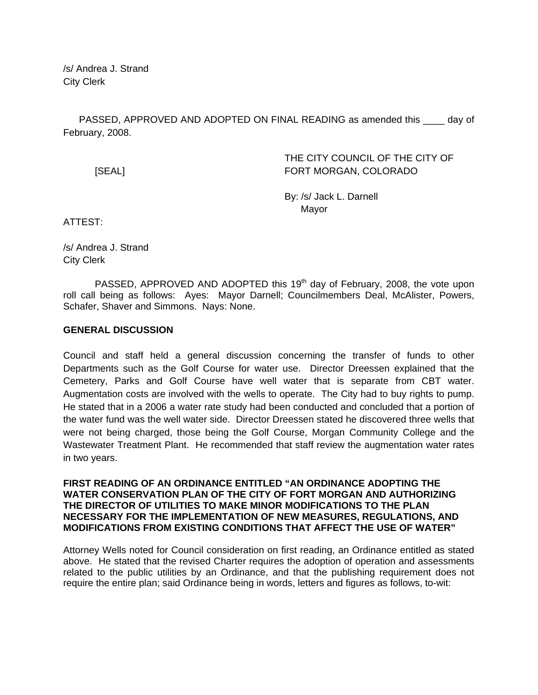/s/ Andrea J. Strand City Clerk

PASSED, APPROVED AND ADOPTED ON FINAL READING as amended this \_\_\_\_ day of February, 2008.

 THE CITY COUNCIL OF THE CITY OF [SEAL] FORT MORGAN, COLORADO

> By: /s/ Jack L. Darnell Mayor

ATTEST:

/s/ Andrea J. Strand City Clerk

PASSED, APPROVED AND ADOPTED this  $19<sup>th</sup>$  day of February, 2008, the vote upon roll call being as follows: Ayes: Mayor Darnell; Councilmembers Deal, McAlister, Powers, Schafer, Shaver and Simmons. Nays: None.

### **GENERAL DISCUSSION**

Council and staff held a general discussion concerning the transfer of funds to other Departments such as the Golf Course for water use. Director Dreessen explained that the Cemetery, Parks and Golf Course have well water that is separate from CBT water. Augmentation costs are involved with the wells to operate. The City had to buy rights to pump. He stated that in a 2006 a water rate study had been conducted and concluded that a portion of the water fund was the well water side. Director Dreessen stated he discovered three wells that were not being charged, those being the Golf Course, Morgan Community College and the Wastewater Treatment Plant. He recommended that staff review the augmentation water rates in two years.

**FIRST READING OF AN ORDINANCE ENTITLED "AN ORDINANCE ADOPTING THE WATER CONSERVATION PLAN OF THE CITY OF FORT MORGAN AND AUTHORIZING THE DIRECTOR OF UTILITIES TO MAKE MINOR MODIFICATIONS TO THE PLAN NECESSARY FOR THE IMPLEMENTATION OF NEW MEASURES, REGULATIONS, AND MODIFICATIONS FROM EXISTING CONDITIONS THAT AFFECT THE USE OF WATER"** 

Attorney Wells noted for Council consideration on first reading, an Ordinance entitled as stated above. He stated that the revised Charter requires the adoption of operation and assessments related to the public utilities by an Ordinance, and that the publishing requirement does not require the entire plan; said Ordinance being in words, letters and figures as follows, to-wit: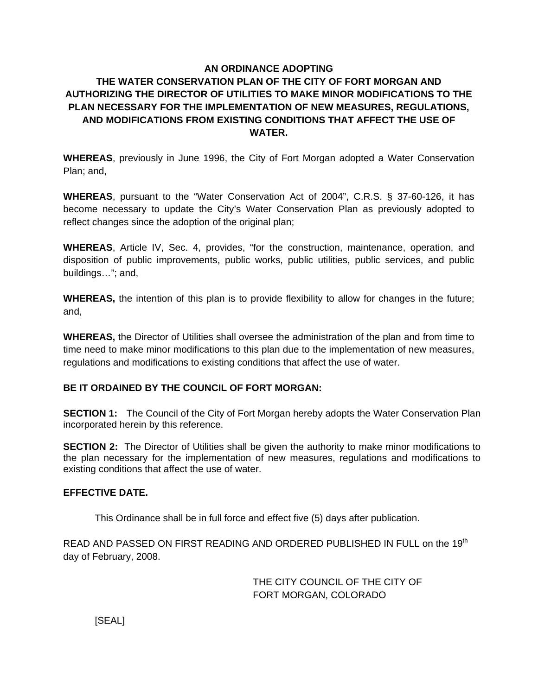# **AN ORDINANCE ADOPTING THE WATER CONSERVATION PLAN OF THE CITY OF FORT MORGAN AND AUTHORIZING THE DIRECTOR OF UTILITIES TO MAKE MINOR MODIFICATIONS TO THE PLAN NECESSARY FOR THE IMPLEMENTATION OF NEW MEASURES, REGULATIONS, AND MODIFICATIONS FROM EXISTING CONDITIONS THAT AFFECT THE USE OF WATER.**

**WHEREAS**, previously in June 1996, the City of Fort Morgan adopted a Water Conservation Plan; and,

**WHEREAS**, pursuant to the "Water Conservation Act of 2004", C.R.S. § 37-60-126, it has become necessary to update the City's Water Conservation Plan as previously adopted to reflect changes since the adoption of the original plan;

**WHEREAS**, Article IV, Sec. 4, provides, "for the construction, maintenance, operation, and disposition of public improvements, public works, public utilities, public services, and public buildings…"; and,

**WHEREAS,** the intention of this plan is to provide flexibility to allow for changes in the future; and,

**WHEREAS,** the Director of Utilities shall oversee the administration of the plan and from time to time need to make minor modifications to this plan due to the implementation of new measures, regulations and modifications to existing conditions that affect the use of water.

# **BE IT ORDAINED BY THE COUNCIL OF FORT MORGAN:**

**SECTION 1:** The Council of the City of Fort Morgan hereby adopts the Water Conservation Plan incorporated herein by this reference.

**SECTION 2:** The Director of Utilities shall be given the authority to make minor modifications to the plan necessary for the implementation of new measures, regulations and modifications to existing conditions that affect the use of water.

## **EFFECTIVE DATE.**

This Ordinance shall be in full force and effect five (5) days after publication.

READ AND PASSED ON FIRST READING AND ORDERED PUBLISHED IN FULL on the 19th day of February, 2008.

> THE CITY COUNCIL OF THE CITY OF FORT MORGAN, COLORADO

[SEAL]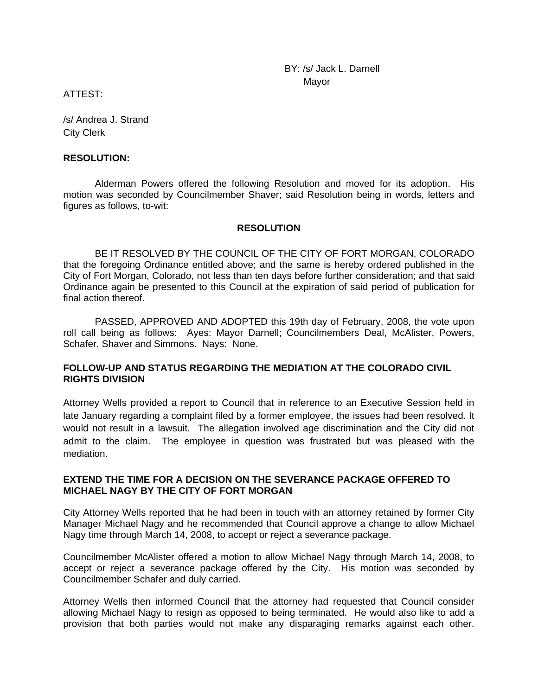BY: /s/ Jack L. Darnell discussion of the contract of the Mayor Mayor

ATTEST:

/s/ Andrea J. Strand City Clerk

#### **RESOLUTION:**

 Alderman Powers offered the following Resolution and moved for its adoption. His motion was seconded by Councilmember Shaver; said Resolution being in words, letters and figures as follows, to-wit:

### **RESOLUTION**

 BE IT RESOLVED BY THE COUNCIL OF THE CITY OF FORT MORGAN, COLORADO that the foregoing Ordinance entitled above; and the same is hereby ordered published in the City of Fort Morgan, Colorado, not less than ten days before further consideration; and that said Ordinance again be presented to this Council at the expiration of said period of publication for final action thereof.

 PASSED, APPROVED AND ADOPTED this 19th day of February, 2008, the vote upon roll call being as follows: Ayes: Mayor Darnell; Councilmembers Deal, McAlister, Powers, Schafer, Shaver and Simmons. Nays: None.

## **FOLLOW-UP AND STATUS REGARDING THE MEDIATION AT THE COLORADO CIVIL RIGHTS DIVISION**

Attorney Wells provided a report to Council that in reference to an Executive Session held in late January regarding a complaint filed by a former employee, the issues had been resolved. It would not result in a lawsuit. The allegation involved age discrimination and the City did not admit to the claim. The employee in question was frustrated but was pleased with the mediation.

### **EXTEND THE TIME FOR A DECISION ON THE SEVERANCE PACKAGE OFFERED TO MICHAEL NAGY BY THE CITY OF FORT MORGAN**

City Attorney Wells reported that he had been in touch with an attorney retained by former City Manager Michael Nagy and he recommended that Council approve a change to allow Michael Nagy time through March 14, 2008, to accept or reject a severance package.

Councilmember McAlister offered a motion to allow Michael Nagy through March 14, 2008, to accept or reject a severance package offered by the City. His motion was seconded by Councilmember Schafer and duly carried.

Attorney Wells then informed Council that the attorney had requested that Council consider allowing Michael Nagy to resign as opposed to being terminated. He would also like to add a provision that both parties would not make any disparaging remarks against each other.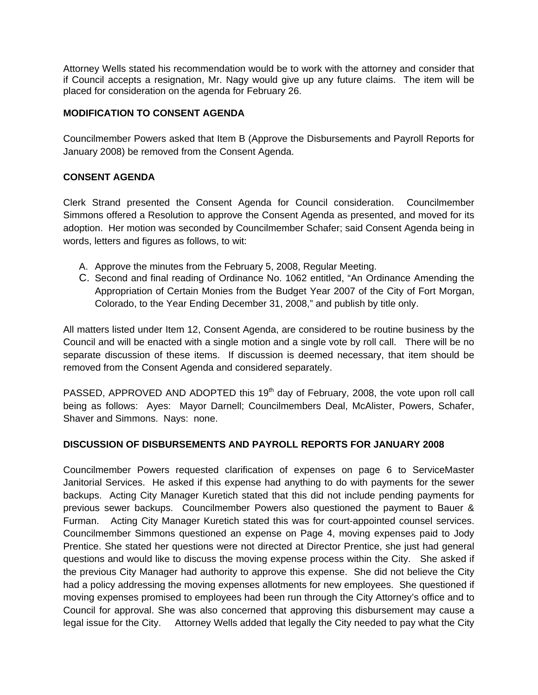Attorney Wells stated his recommendation would be to work with the attorney and consider that if Council accepts a resignation, Mr. Nagy would give up any future claims. The item will be placed for consideration on the agenda for February 26.

## **MODIFICATION TO CONSENT AGENDA**

Councilmember Powers asked that Item B (Approve the Disbursements and Payroll Reports for January 2008) be removed from the Consent Agenda.

## **CONSENT AGENDA**

Clerk Strand presented the Consent Agenda for Council consideration. Councilmember Simmons offered a Resolution to approve the Consent Agenda as presented, and moved for its adoption. Her motion was seconded by Councilmember Schafer; said Consent Agenda being in words, letters and figures as follows, to wit:

- A. Approve the minutes from the February 5, 2008, Regular Meeting.
- C. Second and final reading of Ordinance No. 1062 entitled, "An Ordinance Amending the Appropriation of Certain Monies from the Budget Year 2007 of the City of Fort Morgan, Colorado, to the Year Ending December 31, 2008," and publish by title only.

All matters listed under Item 12, Consent Agenda, are considered to be routine business by the Council and will be enacted with a single motion and a single vote by roll call. There will be no separate discussion of these items. If discussion is deemed necessary, that item should be removed from the Consent Agenda and considered separately.

PASSED, APPROVED AND ADOPTED this 19<sup>th</sup> day of February, 2008, the vote upon roll call being as follows: Ayes: Mayor Darnell; Councilmembers Deal, McAlister, Powers, Schafer, Shaver and Simmons. Nays: none.

# **DISCUSSION OF DISBURSEMENTS AND PAYROLL REPORTS FOR JANUARY 2008**

Councilmember Powers requested clarification of expenses on page 6 to ServiceMaster Janitorial Services. He asked if this expense had anything to do with payments for the sewer backups. Acting City Manager Kuretich stated that this did not include pending payments for previous sewer backups. Councilmember Powers also questioned the payment to Bauer & Furman. Acting City Manager Kuretich stated this was for court-appointed counsel services. Councilmember Simmons questioned an expense on Page 4, moving expenses paid to Jody Prentice. She stated her questions were not directed at Director Prentice, she just had general questions and would like to discuss the moving expense process within the City. She asked if the previous City Manager had authority to approve this expense. She did not believe the City had a policy addressing the moving expenses allotments for new employees. She questioned if moving expenses promised to employees had been run through the City Attorney's office and to Council for approval. She was also concerned that approving this disbursement may cause a legal issue for the City. Attorney Wells added that legally the City needed to pay what the City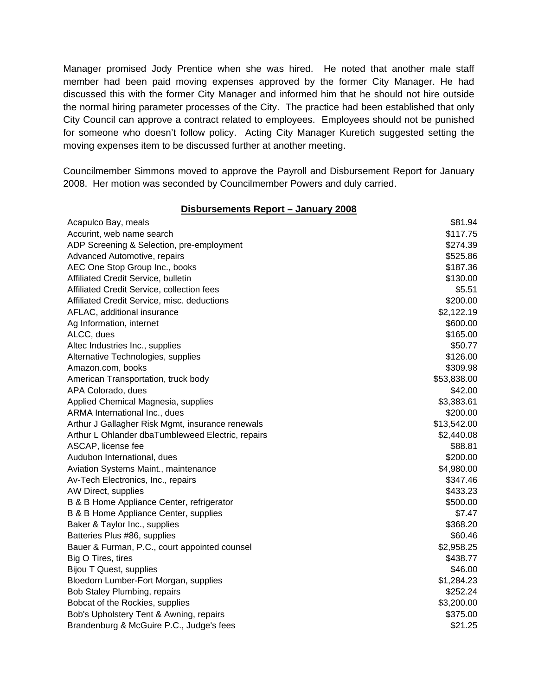Manager promised Jody Prentice when she was hired. He noted that another male staff member had been paid moving expenses approved by the former City Manager. He had discussed this with the former City Manager and informed him that he should not hire outside the normal hiring parameter processes of the City. The practice had been established that only City Council can approve a contract related to employees. Employees should not be punished for someone who doesn't follow policy. Acting City Manager Kuretich suggested setting the moving expenses item to be discussed further at another meeting.

Councilmember Simmons moved to approve the Payroll and Disbursement Report for January 2008. Her motion was seconded by Councilmember Powers and duly carried.

#### **Disbursements Report – January 2008**

| Acapulco Bay, meals                               | \$81.94     |
|---------------------------------------------------|-------------|
| Accurint, web name search                         | \$117.75    |
| ADP Screening & Selection, pre-employment         | \$274.39    |
| Advanced Automotive, repairs                      | \$525.86    |
| AEC One Stop Group Inc., books                    | \$187.36    |
| Affiliated Credit Service, bulletin               | \$130.00    |
| Affiliated Credit Service, collection fees        | \$5.51      |
| Affiliated Credit Service, misc. deductions       | \$200.00    |
| AFLAC, additional insurance                       | \$2,122.19  |
| Ag Information, internet                          | \$600.00    |
| ALCC, dues                                        | \$165.00    |
| Altec Industries Inc., supplies                   | \$50.77     |
| Alternative Technologies, supplies                | \$126.00    |
| Amazon.com, books                                 | \$309.98    |
| American Transportation, truck body               | \$53,838.00 |
| APA Colorado, dues                                | \$42.00     |
| Applied Chemical Magnesia, supplies               | \$3,383.61  |
| ARMA International Inc., dues                     | \$200.00    |
| Arthur J Gallagher Risk Mgmt, insurance renewals  | \$13,542.00 |
| Arthur L Ohlander dbaTumbleweed Electric, repairs | \$2,440.08  |
| ASCAP, license fee                                | \$88.81     |
| Audubon International, dues                       | \$200.00    |
| Aviation Systems Maint., maintenance              | \$4,980.00  |
| Av-Tech Electronics, Inc., repairs                | \$347.46    |
| AW Direct, supplies                               | \$433.23    |
| B & B Home Appliance Center, refrigerator         | \$500.00    |
| B & B Home Appliance Center, supplies             | \$7.47      |
| Baker & Taylor Inc., supplies                     | \$368.20    |
| Batteries Plus #86, supplies                      | \$60.46     |
| Bauer & Furman, P.C., court appointed counsel     | \$2,958.25  |
| Big O Tires, tires                                | \$438.77    |
| Bijou T Quest, supplies                           | \$46.00     |
| Bloedorn Lumber-Fort Morgan, supplies             | \$1,284.23  |
| Bob Staley Plumbing, repairs                      | \$252.24    |
| Bobcat of the Rockies, supplies                   | \$3,200.00  |
| Bob's Upholstery Tent & Awning, repairs           | \$375.00    |
| Brandenburg & McGuire P.C., Judge's fees          | \$21.25     |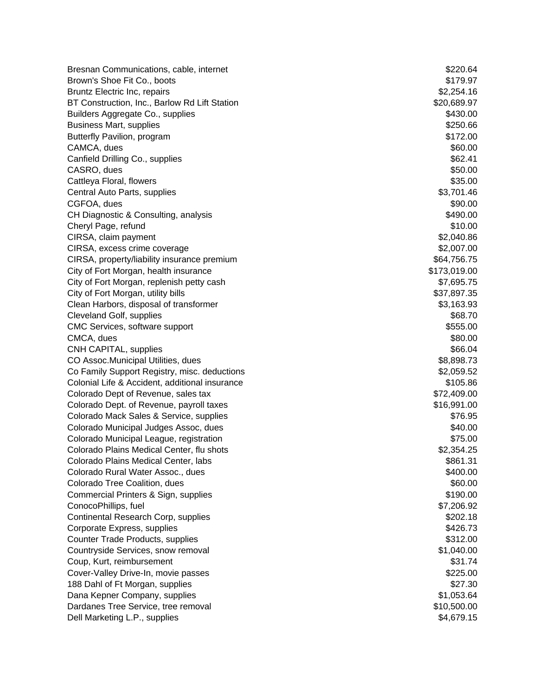Bresnan Communications, cable, internet  $$220.64$ Brown's Shoe Fit Co., boots **\$179.97** Bruntz Electric Inc, repairs  $$2,254.16$ BT Construction, Inc., Barlow Rd Lift Station  $$20,689.97$ Builders Aggregate Co., supplies **\$430.00 \$430.00** Business Mart, supplies  $$250.66$ Butterfly Pavilion, program  $$172.00$ CAMCA, dues \$60.00 Canfield Drilling Co., supplies  $$62.41$ CASRO, dues \$50.00 Cattleya Floral, flowers **\$35.00** Cattleya Floral, flowers **\$35.00** Central Auto Parts, supplies  $$3,701.46$ CGFOA, dues \$90.00 CH Diagnostic & Consulting, analysis  $$490.00$ Cheryl Page, refund  $$10.00$ CIRSA, claim payment  $$2,040.86$ CIRSA, excess crime coverage \$2,007.00 CIRSA, property/liability insurance premium  $$64,756.75$ City of Fort Morgan, health insurance  $$173,019.00$ City of Fort Morgan, replenish petty cash \$7,695.75 City of Fort Morgan, utility bills **but a structure of the Sant American** S37,897.35 Clean Harbors, disposal of transformer  $$3,163.93$ Cleveland Golf, supplies  $$68.70$ CMC Services, software support  $$555.00$ CMCA, dues \$80.00 CNH CAPITAL, supplies  $\$66.04$ CO Assoc.Municipal Utilities, dues \$8,898.73 Co Family Support Registry, misc. deductions  $$2,059.52$ Colonial Life & Accident, additional insurance \$105.86 Colorado Dept of Revenue, sales tax \$72,409.00 Colorado Dept. of Revenue, payroll taxes  $$16,991.00$ Colorado Mack Sales & Service, supplies \$76.95 Colorado Municipal Judges Assoc, dues \$40.00 Colorado Municipal League, registration  $$75.00$ Colorado Plains Medical Center, flu shots \$2,354.25 Colorado Plains Medical Center, labs \$861.31 Colorado Rural Water Assoc., dues \$400.00 Colorado Tree Coalition, dues **\$60.00**  $\frac{1}{2}$  \$60.00 Commercial Printers & Sign, supplies \$190.00 ConocoPhillips, fuel \$7,206.92 Continental Research Corp, supplies  $$202.18$ Corporate Express, supplies  $$426.73$ Counter Trade Products, supplies  $$312.00$ Countryside Services, snow removal **by the service of the services**  $$1,040.00$ Coup, Kurt, reimbursement \$31.74 Cover-Valley Drive-In, movie passes  $$225.00$ 188 Dahl of Ft Morgan, supplies  $$27.30$ Dana Kepner Company, supplies  $$1.053.64$ Dardanes Tree Service, tree removal **by the service of the Service Street Street Street Street Street Street Street Street Street Street Street Street Street Street Street Street Street Street Street Street Street Street S** Dell Marketing L.P., supplies  $$4,679.15$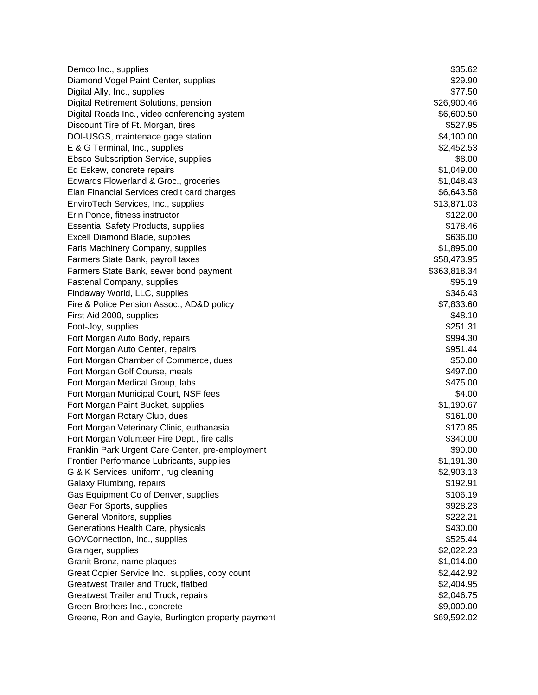Demco Inc., supplies  $$35.62$ Diamond Vogel Paint Center, supplies  $$29.90$ Digital Ally, Inc., supplies \$77.50 Digital Retirement Solutions, pension \$26,900.46 Digital Roads Inc., video conferencing system  $$6,600.50$ Discount Tire of Ft. Morgan, tires  $$527.95$ DOI-USGS, maintenace gage station  $$4.100.00$ E & G Terminal, Inc., supplies  $$2,452.53$ Ebsco Subscription Service, supplies \$8.00 Ed Eskew, concrete repairs  $$1,049.00$ Edwards Flowerland & Groc., groceries \$1,048.43 Elan Financial Services credit card charges  $$6,643.58$ EnviroTech Services, Inc., supplies  $$13,871.03$ Erin Ponce, fitness instructor  $$122.00$ Essential Safety Products, supplies  $$178.46$ Excell Diamond Blade, supplies  $$636.00$ Faris Machinery Company, supplies  $$1,895.00$ Farmers State Bank, payroll taxes  $$58,473.95$ Farmers State Bank, sewer bond payment **\$363,818.34** S363,818.34 Fastenal Company, supplies  $$95.19$ Findaway World, LLC, supplies  $$346.43$ Fire & Police Pension Assoc., AD&D policy \$7,833.60 First Aid 2000, supplies \$48.10 Foot-Joy, supplies  $$251.31$ Fort Morgan Auto Body, repairs  $$994.30$ Fort Morgan Auto Center, repairs  $$951.44$ Fort Morgan Chamber of Commerce, dues \$50.00 Fort Morgan Golf Course, meals **\$497.00** State 3.1 and the set of the set of the set of the set of the set of the set of the set of the set of the set of the set of the set of the set of the set of the set of the set of th Fort Morgan Medical Group, labs  $$475.00$ Fort Morgan Municipal Court, NSF fees \$4.00 Fort Morgan Paint Bucket, supplies  $$1,190.67$ Fort Morgan Rotary Club, dues  $$161.00$ Fort Morgan Veterinary Clinic, euthanasia \$170.85 Fort Morgan Volunteer Fire Dept., fire calls **\$340.00 \$340.00** Franklin Park Urgent Care Center, pre-employment  $$90.00$ Frontier Performance Lubricants, supplies \$1,191.30 G & K Services, uniform, rug cleaning  $$2,903.13$ Galaxy Plumbing, repairs  $$192.91$ Gas Equipment Co of Denver, supplies  $$106.19$ Gear For Sports, supplies  $$928.23$ General Monitors, supplies  $$222.21$ Generations Health Care, physicals  $$430.00$ GOVConnection, Inc., supplies  $$525.44$ Grainger, supplies  $$2,022.23$ Granit Bronz, name plaques **\$1,014.00** Strain and the strain strain strain strain strain strain strain strain str Great Copier Service Inc., supplies, copy count \$2,442.92 Greatwest Trailer and Truck, flatbed  $$2,404.95$ Greatwest Trailer and Truck, repairs  $$2.046.75$ Green Brothers Inc., concrete  $$9,000.00$ Greene, Ron and Gayle, Burlington property payment \$69,592.02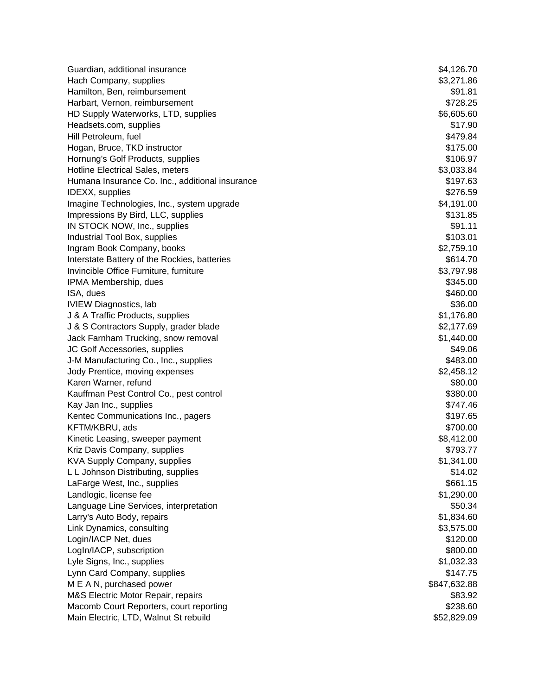| Guardian, additional insurance                  | \$4,126.70   |
|-------------------------------------------------|--------------|
| Hach Company, supplies                          | \$3,271.86   |
| Hamilton, Ben, reimbursement                    | \$91.81      |
| Harbart, Vernon, reimbursement                  | \$728.25     |
| HD Supply Waterworks, LTD, supplies             | \$6,605.60   |
| Headsets.com, supplies                          | \$17.90      |
| Hill Petroleum, fuel                            | \$479.84     |
| Hogan, Bruce, TKD instructor                    | \$175.00     |
| Hornung's Golf Products, supplies               | \$106.97     |
| Hotline Electrical Sales, meters                | \$3,033.84   |
| Humana Insurance Co. Inc., additional insurance | \$197.63     |
| IDEXX, supplies                                 | \$276.59     |
| Imagine Technologies, Inc., system upgrade      | \$4,191.00   |
| Impressions By Bird, LLC, supplies              | \$131.85     |
| IN STOCK NOW, Inc., supplies                    | \$91.11      |
| Industrial Tool Box, supplies                   | \$103.01     |
| Ingram Book Company, books                      | \$2,759.10   |
| Interstate Battery of the Rockies, batteries    | \$614.70     |
| Invincible Office Furniture, furniture          | \$3,797.98   |
| IPMA Membership, dues                           | \$345.00     |
| ISA, dues                                       | \$460.00     |
| <b>IVIEW Diagnostics, lab</b>                   | \$36.00      |
| J & A Traffic Products, supplies                | \$1,176.80   |
| J & S Contractors Supply, grader blade          | \$2,177.69   |
| Jack Farnham Trucking, snow removal             | \$1,440.00   |
| JC Golf Accessories, supplies                   | \$49.06      |
| J-M Manufacturing Co., Inc., supplies           | \$483.00     |
| Jody Prentice, moving expenses                  | \$2,458.12   |
| Karen Warner, refund                            | \$80.00      |
| Kauffman Pest Control Co., pest control         | \$380.00     |
| Kay Jan Inc., supplies                          | \$747.46     |
| Kentec Communications Inc., pagers              | \$197.65     |
| KFTM/KBRU, ads                                  | \$700.00     |
| Kinetic Leasing, sweeper payment                | \$8,412.00   |
| Kriz Davis Company, supplies                    | \$793.77     |
| KVA Supply Company, supplies                    | \$1,341.00   |
| L L Johnson Distributing, supplies              | \$14.02      |
| LaFarge West, Inc., supplies                    | \$661.15     |
| Landlogic, license fee                          | \$1,290.00   |
| Language Line Services, interpretation          | \$50.34      |
| Larry's Auto Body, repairs                      | \$1,834.60   |
| Link Dynamics, consulting                       | \$3,575.00   |
| Login/IACP Net, dues                            | \$120.00     |
| LogIn/IACP, subscription                        | \$800.00     |
| Lyle Signs, Inc., supplies                      | \$1,032.33   |
| Lynn Card Company, supplies                     | \$147.75     |
| M E A N, purchased power                        | \$847,632.88 |
| M&S Electric Motor Repair, repairs              | \$83.92      |
| Macomb Court Reporters, court reporting         | \$238.60     |
| Main Electric, LTD, Walnut St rebuild           | \$52,829.09  |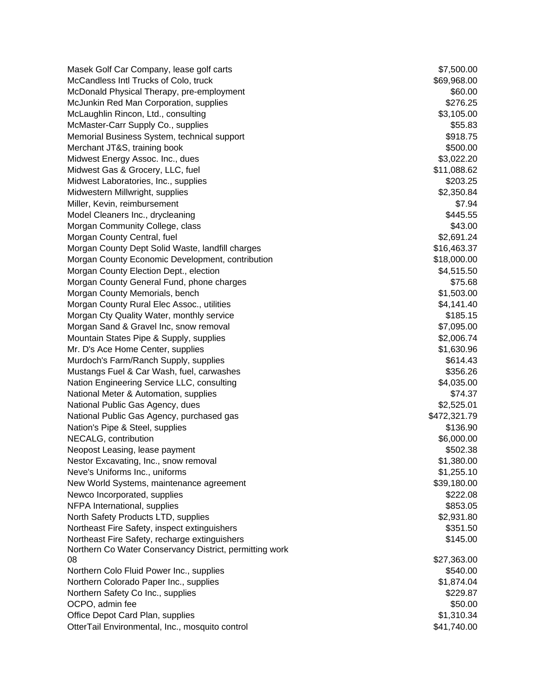Masek Golf Car Company, lease golf carts  $$7,500.00$ McCandless Intl Trucks of Colo, truck  $\sim$  869,968.00 McDonald Physical Therapy, pre-employment  $$60.00$ McJunkin Red Man Corporation, supplies  $$276.25$ McLaughlin Rincon, Ltd., consulting  $$3,105.00$ McMaster-Carr Supply Co., supplies  $$55.83$ Memorial Business System, technical support  $$918.75$ Merchant JT&S, training book \$500.00 Midwest Energy Assoc. Inc., dues \$3,022.20 Midwest Gas & Grocery, LLC, fuel \$11,088.62 Midwest Laboratories, Inc., supplies  $$203.25$ Midwestern Millwright, supplies **by a struck of the set of the set of the set of the set of the set of the set of the set of the set of the set of the set of the set of the set of the set of the set of the set of the set o** Miller, Kevin, reimbursement  $$7.94$ Model Cleaners Inc., drycleaning  $$445.55$ Morgan Community College, class  $$43.00$ Morgan County Central, fuel **\$2,691.24**  $$2,691.24$ Morgan County Dept Solid Waste, landfill charges  $$16,463.37$ Morgan County Economic Development, contribution  $$18,000.00$ Morgan County Election Dept., election  $\frac{1}{2}$  election  $\frac{1}{2}$  extending the set of  $\frac{1}{2}$  and  $\frac{1}{2}$  for  $\frac{1}{2}$  and  $\frac{1}{2}$  for  $\frac{1}{2}$  for  $\frac{1}{2}$  for  $\frac{1}{2}$  for  $\frac{1}{2}$  for  $\frac{1}{2}$  for  $\frac{1}{2$ Morgan County General Fund, phone charges  $$75.68$ Morgan County Memorials, bench  $$1,503.00$ Morgan County Rural Elec Assoc., utilities  $$4,141.40$ Morgan Cty Quality Water, monthly service  $$185.15$ Morgan Sand & Gravel Inc, snow removal  $$7,095.00$ Mountain States Pipe & Supply, supplies  $$2,006.74$ Mr. D's Ace Home Center, supplies  $$1,630.96$ Murdoch's Farm/Ranch Supply, supplies  $$614.43$ Mustangs Fuel & Car Wash, fuel, carwashes **\$356.26** (\$356.26) Nation Engineering Service LLC, consulting  $$4,035.00$ National Meter & Automation, supplies  $$74.37$ National Public Gas Agency, dues \$2,525.01 National Public Gas Agency, purchased gas  $$472,321.79$ Nation's Pipe & Steel, supplies  $$136.90$ NECALG, contribution  $$6,000.00$ Neopost Leasing, lease payment  $$502.38$ Nestor Excavating, Inc., snow removal **Excavation Control** Control of the Studies of the Studies of Studies and Studies of Studies and Studies of Studies and Studies and Studies and Studies and Studies and Studies and Stud Neve's Uniforms Inc., uniforms  $\sim$  81,255.10 New World Systems, maintenance agreement **\$39,180.00 \$39,180.00** Newco Incorporated, supplies  $$222.08$ NFPA International, supplies  $$853.05$ North Safety Products LTD, supplies  $$2,931.80$ Northeast Fire Safety, inspect extinguishers  $$351.50$ Northeast Fire Safety, recharge extinguishers  $$145.00$ Northern Co Water Conservancy District, permitting work 08 \$27,363.00 Northern Colo Fluid Power Inc., supplies  $$540.00$ Northern Colorado Paper Inc., supplies  $$1,874.04$ Northern Safety Co Inc., supplies  $$229.87$ OCPO, admin fee  $$50.00$ Office Depot Card Plan, supplies  $$1,310.34$ OtterTail Environmental, Inc., mosquito control **641,740.00** \$41,740.00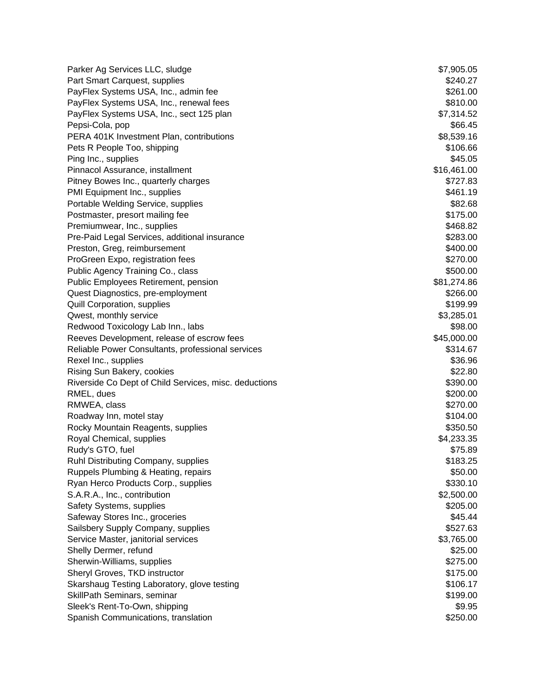Parker Ag Services LLC, sludge  $$7,905.05$ Part Smart Carquest, supplies  $$240.27$ PayFlex Systems USA, Inc., admin fee  $$261.00$ PayFlex Systems USA, Inc., renewal fees  $$810.00$ PayFlex Systems USA, Inc., sect 125 plan \$7,314.52 Pepsi-Cola, pop \$66.45 PERA 401K Investment Plan, contributions **\$8,539.16** by the state of the state of the state state of the state of the state state state state state state state state state state state state state state state state state st Pets R People Too, shipping  $$106.66$ Ping Inc., supplies  $$45.05$ Pinnacol Assurance, installment  $$16,461.00$ Pitney Bowes Inc., quarterly charges  $$727.83$ PMI Equipment Inc., supplies  $$461.19$ Portable Welding Service, supplies  $$82.68$ Postmaster, presort mailing fee  $$175.00$ Premiumwear, Inc., supplies  $$468.82$ Pre-Paid Legal Services, additional insurance **\$283.00**  $$283.00$ Preston, Greg, reimbursement  $$400.00$ ProGreen Expo, registration fees  $$270.00$ Public Agency Training Co., class \$500.00 Public Employees Retirement, pension  $$81,274.86$ Quest Diagnostics, pre-employment **\$266.00** and \$266.00 Quill Corporation, supplies  $$199.99$ Qwest, monthly service  $$3,285.01$ Redwood Toxicology Lab Inn., labs \$98.00  $\sim$ Reeves Development, release of escrow fees  $$45,000.00$ Reliable Power Consultants, professional services **\$314.67** (\$314.67) Rexel Inc., supplies  $$36.96$ Rising Sun Bakery, cookies \$22.80 Riverside Co Dept of Child Services, misc. deductions **\$390.00** \$390.00  $R$ MEL, dues  $$200.00$ RMWEA, class \$270.00 Roadway Inn, motel stay **\$104.00 \$104.00** Rocky Mountain Reagents, supplies  $$350.50$ Royal Chemical, supplies  $$4,233.35$ Rudy's GTO, fuel \$75.89 and \$75.89 and \$75.89 and \$75.89 and \$75.89 and \$75.89 and \$75.89 and \$75.89 and \$75.89 Ruhl Distributing Company, supplies  $$183.25$ Ruppels Plumbing & Heating, repairs \$50.00 Ryan Herco Products Corp., supplies  $$330.10$ S.A.R.A., Inc., contribution  $$2,500.00$ Safety Systems, supplies  $$205.00$ Safeway Stores Inc., groceries  $$45.44$ Sailsbery Supply Company, supplies  $$527.63$ Service Master, janitorial services \$3,765.00 Shelly Dermer, refund  $$25.00$ Sherwin-Williams, supplies  $$275.00$ Sheryl Groves, TKD instructor  $$175.00$ Skarshaug Testing Laboratory, glove testing  $$106.17$ SkillPath Seminars, seminar  $\sim$  \$199.00 Sleek's Rent-To-Own, shipping  $$9.95$ Spanish Communications, translation  $$250.00$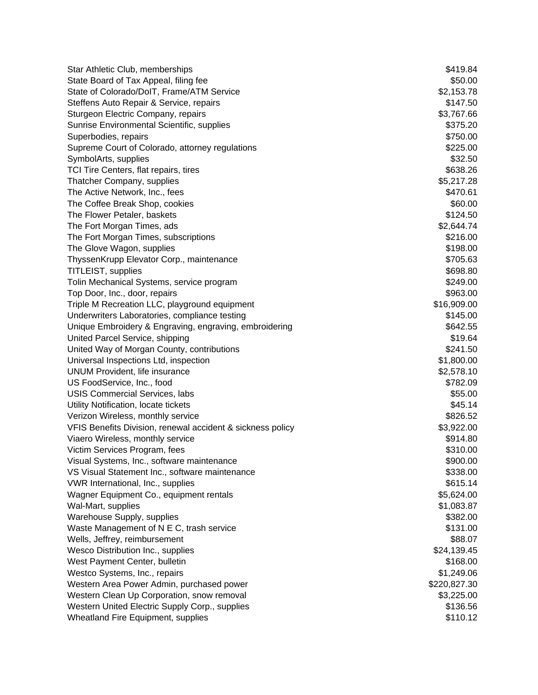Star Athletic Club, memberships  $$419.84$ State Board of Tax Appeal, filing fee  $$50.00$ State of Colorado/DoIT, Frame/ATM Service  $$2,153.78$ Steffens Auto Repair & Service, repairs  $$147.50$ Sturgeon Electric Company, repairs  $$3,767.66$ Sunrise Environmental Scientific, supplies  $$375.20$ Superbodies, repairs  $$750.00$ Supreme Court of Colorado, attorney regulations  $$225.00$ SymbolArts, supplies  $$32.50$ TCI Tire Centers, flat repairs, tires \$638.26 Thatcher Company, supplies  $$5,217.28$ The Active Network, Inc., fees  $$470.61$ The Coffee Break Shop, cookies  $$60.00$ The Flower Petaler, baskets  $$124.50$ The Fort Morgan Times, ads  $$2,644.74$ The Fort Morgan Times, subscriptions  $$216.00$ The Glove Wagon, supplies  $$198.00$ ThyssenKrupp Elevator Corp., maintenance **\$705.63** \$705.63 TITLEIST, supplies  $$698.80$ Tolin Mechanical Systems, service program  $$249.00$ Top Door, Inc., door, repairs  $$963.00$ Triple M Recreation LLC, playground equipment **\$16,909.00** \$16,909.00 Underwriters Laboratories, compliance testing **\$145.00** \$145.00 Unique Embroidery & Engraving, engraving, embroidering entitled and the state of the \$642.55 United Parcel Service, shipping  $$19.64$ United Way of Morgan County, contributions  $$241.50$ Universal Inspections Ltd, inspection  $$1,800.00$ UNUM Provident, life insurance  $$2,578.10$ US FoodService, Inc., food \$782.09 USIS Commercial Services, labs \$55.00 Utility Notification, locate tickets  $$45.14$ Verizon Wireless, monthly service **\$826.52** and \$826.52 VFIS Benefits Division, renewal accident & sickness policy **\$3,922.00** \$3,922.00 Viaero Wireless, monthly service **\$914.80** and the service  $$914.80$ Victim Services Program, fees  $$310.00$ Visual Systems, Inc., software maintenance **\$900.00**  $$900.00$ VS Visual Statement Inc., software maintenance **\$338.00** \$338.00 VWR International, Inc., supplies  $$615.14$ Wagner Equipment Co., equipment rentals **\$5,624.00** \$5,624.00 Wal-Mart, supplies \$1,083.87 Warehouse Supply, supplies  $$382.00$ Waste Management of N E C, trash service **\$131.00** \$131.00 Wells, Jeffrey, reimbursement  $$88.07$ Wesco Distribution Inc., supplies  $$24,139.45$ West Payment Center, bulletin  $$168.00$ Westco Systems, Inc., repairs  $$1,249.06$ Western Area Power Admin, purchased power **\$220,827.30** \$220,827.30 Western Clean Up Corporation, snow removal **\$3,225.00** \$3,225.00 Western United Electric Supply Corp., supplies  $$136.56$ Wheatland Fire Equipment, supplies  $$110.12$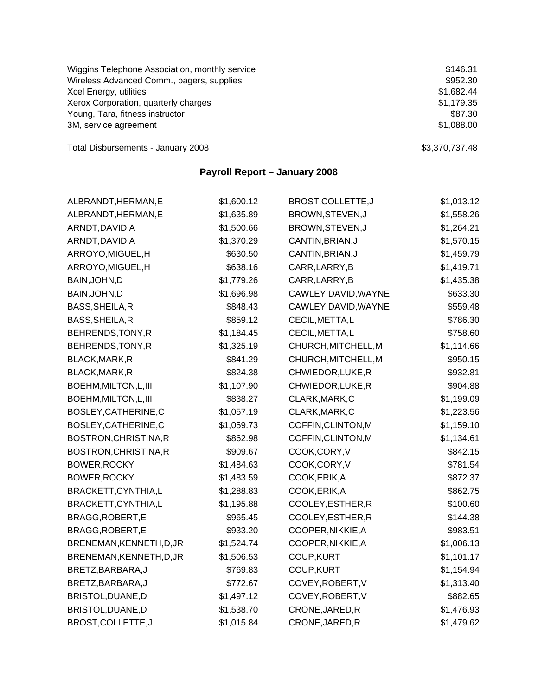| Wiggins Telephone Association, monthly service | \$146.31       |
|------------------------------------------------|----------------|
| Wireless Advanced Comm., pagers, supplies      | \$952.30       |
| Xcel Energy, utilities                         | \$1,682.44     |
| Xerox Corporation, quarterly charges           | \$1,179.35     |
| Young, Tara, fitness instructor                | \$87.30        |
| 3M, service agreement                          | \$1,088.00     |
| Total Disbursements - January 2008             | \$3,370,737.48 |

**Payroll Report – January 2008**

| ALBRANDT, HERMAN, E      | \$1,600.12 | BROST, COLLETTE, J   | \$1,013.12 |
|--------------------------|------------|----------------------|------------|
| ALBRANDT, HERMAN, E      | \$1,635.89 | BROWN, STEVEN, J     | \$1,558.26 |
| ARNDT, DAVID, A          | \$1,500.66 | BROWN, STEVEN, J     | \$1,264.21 |
| ARNDT, DAVID, A          | \$1,370.29 | CANTIN, BRIAN, J     | \$1,570.15 |
| ARROYO, MIGUEL, H        | \$630.50   | CANTIN, BRIAN, J     | \$1,459.79 |
| ARROYO, MIGUEL, H        | \$638.16   | CARR, LARRY, B       | \$1,419.71 |
| BAIN, JOHN, D            | \$1,779.26 | CARR, LARRY, B       | \$1,435.38 |
| BAIN, JOHN, D            | \$1,696.98 | CAWLEY, DAVID, WAYNE | \$633.30   |
| BASS, SHEILA, R          | \$848.43   | CAWLEY, DAVID, WAYNE | \$559.48   |
| BASS, SHEILA, R          | \$859.12   | CECIL, METTA, L      | \$786.30   |
| BEHRENDS, TONY, R        | \$1,184.45 | CECIL, METTA, L      | \$758.60   |
| BEHRENDS, TONY, R        | \$1,325.19 | CHURCH, MITCHELL, M  | \$1,114.66 |
| BLACK, MARK, R           | \$841.29   | CHURCH, MITCHELL, M  | \$950.15   |
| BLACK, MARK, R           | \$824.38   | CHWIEDOR, LUKE, R    | \$932.81   |
| BOEHM, MILTON, L, III    | \$1,107.90 | CHWIEDOR, LUKE, R    | \$904.88   |
| BOEHM, MILTON, L, III    | \$838.27   | CLARK, MARK, C       | \$1,199.09 |
| BOSLEY, CATHERINE, C     | \$1,057.19 | CLARK, MARK, C       | \$1,223.56 |
| BOSLEY, CATHERINE, C     | \$1,059.73 | COFFIN, CLINTON, M   | \$1,159.10 |
| BOSTRON, CHRISTINA, R    | \$862.98   | COFFIN, CLINTON, M   | \$1,134.61 |
| BOSTRON, CHRISTINA, R    | \$909.67   | COOK, CORY, V        | \$842.15   |
| BOWER, ROCKY             | \$1,484.63 | COOK, CORY, V        | \$781.54   |
| BOWER, ROCKY             | \$1,483.59 | COOK, ERIK, A        | \$872.37   |
| BRACKETT, CYNTHIA, L     | \$1,288.83 | COOK, ERIK, A        | \$862.75   |
| BRACKETT, CYNTHIA, L     | \$1,195.88 | COOLEY, ESTHER, R    | \$100.60   |
| BRAGG, ROBERT, E         | \$965.45   | COOLEY, ESTHER, R    | \$144.38   |
| BRAGG, ROBERT, E         | \$933.20   | COOPER, NIKKIE, A    | \$983.51   |
| BRENEMAN, KENNETH, D, JR | \$1,524.74 | COOPER, NIKKIE, A    | \$1,006.13 |
| BRENEMAN, KENNETH, D, JR | \$1,506.53 | COUP, KURT           | \$1,101.17 |
| BRETZ, BARBARA, J        | \$769.83   | <b>COUP, KURT</b>    | \$1,154.94 |
| BRETZ, BARBARA, J        | \$772.67   | COVEY, ROBERT, V     | \$1,313.40 |
| BRISTOL, DUANE, D        | \$1,497.12 | COVEY, ROBERT, V     | \$882.65   |
| BRISTOL, DUANE, D        | \$1,538.70 | CRONE, JARED, R      | \$1,476.93 |
| BROST, COLLETTE, J       | \$1,015.84 | CRONE, JARED, R      | \$1,479.62 |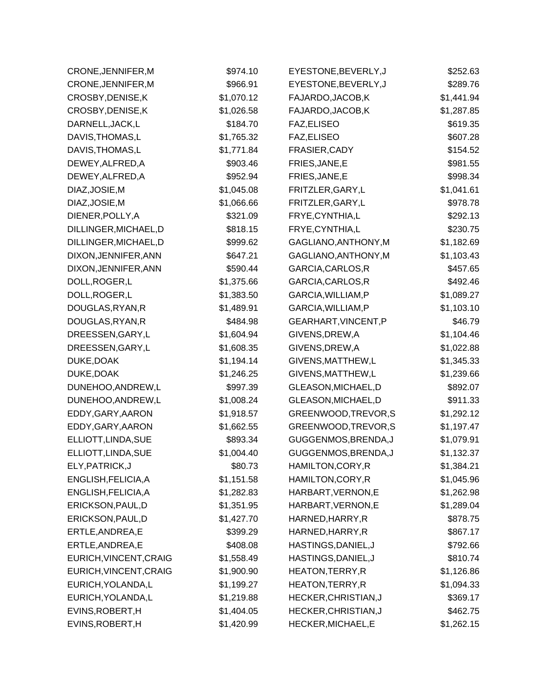| CRONE, JENNIFER, M     | \$974.10   | EYESTONE, BEVERLY, J | \$252.63   |
|------------------------|------------|----------------------|------------|
| CRONE, JENNIFER, M     | \$966.91   | EYESTONE, BEVERLY, J | \$289.76   |
| CROSBY, DENISE, K      | \$1,070.12 | FAJARDO, JACOB, K    | \$1,441.94 |
| CROSBY, DENISE, K      | \$1,026.58 | FAJARDO, JACOB, K    | \$1,287.85 |
| DARNELL, JACK, L       | \$184.70   | FAZ, ELISEO          | \$619.35   |
| DAVIS, THOMAS, L       | \$1,765.32 | FAZ, ELISEO          | \$607.28   |
| DAVIS, THOMAS, L       | \$1,771.84 | FRASIER, CADY        | \$154.52   |
| DEWEY, ALFRED, A       | \$903.46   | FRIES, JANE, E       | \$981.55   |
| DEWEY, ALFRED, A       | \$952.94   | FRIES, JANE, E       | \$998.34   |
| DIAZ, JOSIE, M         | \$1,045.08 | FRITZLER, GARY, L    | \$1,041.61 |
| DIAZ, JOSIE, M         | \$1,066.66 | FRITZLER, GARY, L    | \$978.78   |
| DIENER, POLLY, A       | \$321.09   | FRYE, CYNTHIA, L     | \$292.13   |
| DILLINGER, MICHAEL, D  | \$818.15   | FRYE, CYNTHIA, L     | \$230.75   |
| DILLINGER, MICHAEL, D  | \$999.62   | GAGLIANO, ANTHONY, M | \$1,182.69 |
| DIXON, JENNIFER, ANN   | \$647.21   | GAGLIANO, ANTHONY, M | \$1,103.43 |
| DIXON, JENNIFER, ANN   | \$590.44   | GARCIA, CARLOS, R    | \$457.65   |
| DOLL, ROGER, L         | \$1,375.66 | GARCIA, CARLOS, R    | \$492.46   |
| DOLL, ROGER, L         | \$1,383.50 | GARCIA, WILLIAM, P   | \$1,089.27 |
| DOUGLAS, RYAN, R       | \$1,489.91 | GARCIA, WILLIAM, P   | \$1,103.10 |
| DOUGLAS, RYAN, R       | \$484.98   | GEARHART, VINCENT, P | \$46.79    |
| DREESSEN, GARY, L      | \$1,604.94 | GIVENS, DREW, A      | \$1,104.46 |
| DREESSEN, GARY, L      | \$1,608.35 | GIVENS, DREW, A      | \$1,022.88 |
| DUKE, DOAK             | \$1,194.14 | GIVENS, MATTHEW, L   | \$1,345.33 |
| DUKE, DOAK             | \$1,246.25 | GIVENS, MATTHEW, L   | \$1,239.66 |
| DUNEHOO, ANDREW, L     | \$997.39   | GLEASON, MICHAEL, D  | \$892.07   |
| DUNEHOO, ANDREW, L     | \$1,008.24 | GLEASON, MICHAEL, D  | \$911.33   |
| EDDY, GARY, AARON      | \$1,918.57 | GREENWOOD, TREVOR, S | \$1,292.12 |
| EDDY, GARY, AARON      | \$1,662.55 | GREENWOOD, TREVOR, S | \$1,197.47 |
| ELLIOTT, LINDA, SUE    | \$893.34   | GUGGENMOS, BRENDA, J | \$1,079.91 |
| ELLIOTT, LINDA, SUE    | \$1,004.40 | GUGGENMOS, BRENDA, J | \$1,132.37 |
| ELY, PATRICK, J        | \$80.73    | HAMILTON, CORY, R    | \$1,384.21 |
| ENGLISH, FELICIA, A    | \$1,151.58 | HAMILTON, CORY, R    | \$1,045.96 |
| ENGLISH, FELICIA, A    | \$1,282.83 | HARBART, VERNON, E   | \$1,262.98 |
| ERICKSON, PAUL, D      | \$1,351.95 | HARBART, VERNON, E   | \$1,289.04 |
| ERICKSON, PAUL, D      | \$1,427.70 | HARNED, HARRY, R     | \$878.75   |
| ERTLE, ANDREA, E       | \$399.29   | HARNED, HARRY, R     | \$867.17   |
| ERTLE, ANDREA, E       | \$408.08   | HASTINGS, DANIEL, J  | \$792.66   |
| EURICH, VINCENT, CRAIG | \$1,558.49 | HASTINGS, DANIEL, J  | \$810.74   |
| EURICH, VINCENT, CRAIG | \$1,900.90 | HEATON, TERRY, R     | \$1,126.86 |
| EURICH, YOLANDA, L     | \$1,199.27 | HEATON, TERRY, R     | \$1,094.33 |
| EURICH, YOLANDA, L     | \$1,219.88 | HECKER, CHRISTIAN, J | \$369.17   |
| EVINS, ROBERT, H       | \$1,404.05 | HECKER, CHRISTIAN, J | \$462.75   |
| EVINS, ROBERT, H       | \$1,420.99 | HECKER, MICHAEL, E   | \$1,262.15 |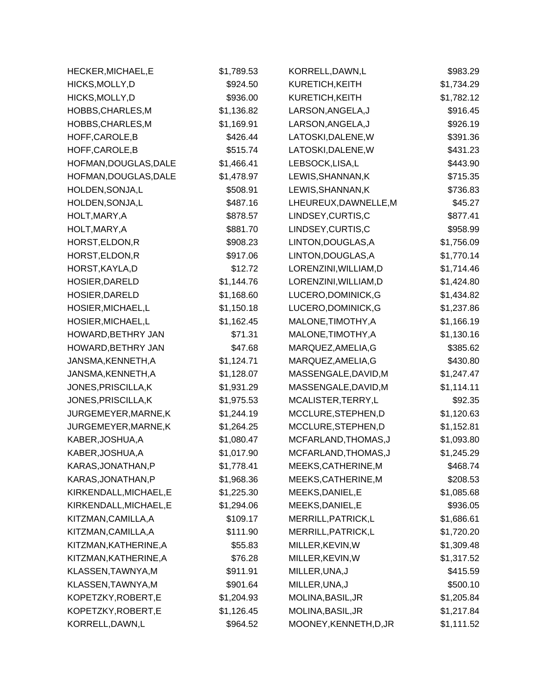| HECKER, MICHAEL, E     | \$1,789.53 | KORRELL, DAWN, L       | \$983.29   |
|------------------------|------------|------------------------|------------|
| HICKS, MOLLY, D        | \$924.50   | KURETICH, KEITH        | \$1,734.29 |
| HICKS, MOLLY, D        | \$936.00   | KURETICH, KEITH        | \$1,782.12 |
| HOBBS, CHARLES, M      | \$1,136.82 | LARSON, ANGELA, J      | \$916.45   |
| HOBBS, CHARLES, M      | \$1,169.91 | LARSON, ANGELA, J      | \$926.19   |
| HOFF, CAROLE, B        | \$426.44   | LATOSKI, DALENE, W     | \$391.36   |
| HOFF, CAROLE, B        | \$515.74   | LATOSKI, DALENE, W     | \$431.23   |
| HOFMAN, DOUGLAS, DALE  | \$1,466.41 | LEBSOCK,LISA,L         | \$443.90   |
| HOFMAN, DOUGLAS, DALE  | \$1,478.97 | LEWIS, SHANNAN, K      | \$715.35   |
| HOLDEN, SONJA, L       | \$508.91   | LEWIS, SHANNAN, K      | \$736.83   |
| HOLDEN, SONJA, L       | \$487.16   | LHEUREUX, DAWNELLE, M  | \$45.27    |
| HOLT, MARY, A          | \$878.57   | LINDSEY, CURTIS, C     | \$877.41   |
| HOLT, MARY, A          | \$881.70   | LINDSEY, CURTIS, C     | \$958.99   |
| HORST, ELDON, R        | \$908.23   | LINTON, DOUGLAS, A     | \$1,756.09 |
| HORST, ELDON, R        | \$917.06   | LINTON, DOUGLAS, A     | \$1,770.14 |
| HORST, KAYLA, D        | \$12.72    | LORENZINI, WILLIAM, D  | \$1,714.46 |
| HOSIER, DARELD         | \$1,144.76 | LORENZINI, WILLIAM, D  | \$1,424.80 |
| HOSIER, DARELD         | \$1,168.60 | LUCERO, DOMINICK, G    | \$1,434.82 |
| HOSIER, MICHAEL, L     | \$1,150.18 | LUCERO, DOMINICK, G    | \$1,237.86 |
| HOSIER, MICHAEL, L     | \$1,162.45 | MALONE, TIMOTHY, A     | \$1,166.19 |
| HOWARD, BETHRY JAN     | \$71.31    | MALONE, TIMOTHY, A     | \$1,130.16 |
| HOWARD, BETHRY JAN     | \$47.68    | MARQUEZ, AMELIA, G     | \$385.62   |
| JANSMA, KENNETH, A     | \$1,124.71 | MARQUEZ, AMELIA, G     | \$430.80   |
| JANSMA, KENNETH, A     | \$1,128.07 | MASSENGALE, DAVID, M   | \$1,247.47 |
| JONES, PRISCILLA, K    | \$1,931.29 | MASSENGALE, DAVID, M   | \$1,114.11 |
| JONES, PRISCILLA, K    | \$1,975.53 | MCALISTER, TERRY, L    | \$92.35    |
| JURGEMEYER, MARNE, K   | \$1,244.19 | MCCLURE, STEPHEN, D    | \$1,120.63 |
| JURGEMEYER, MARNE, K   | \$1,264.25 | MCCLURE, STEPHEN, D    | \$1,152.81 |
| KABER, JOSHUA, A       | \$1,080.47 | MCFARLAND, THOMAS, J   | \$1,093.80 |
| KABER, JOSHUA, A       | \$1,017.90 | MCFARLAND, THOMAS, J   | \$1,245.29 |
| KARAS, JONATHAN, P     | \$1,778.41 | MEEKS, CATHERINE, M    | \$468.74   |
| KARAS, JONATHAN, P     | \$1,968.36 | MEEKS, CATHERINE, M    | \$208.53   |
| KIRKENDALL, MICHAEL, E | \$1,225.30 | MEEKS, DANIEL, E       | \$1,085.68 |
| KIRKENDALL, MICHAEL, E | \$1,294.06 | MEEKS, DANIEL, E       | \$936.05   |
| KITZMAN, CAMILLA, A    | \$109.17   | MERRILL, PATRICK, L    | \$1,686.61 |
| KITZMAN, CAMILLA, A    | \$111.90   | MERRILL, PATRICK, L    | \$1,720.20 |
| KITZMAN, KATHERINE, A  | \$55.83    | MILLER, KEVIN, W       | \$1,309.48 |
| KITZMAN, KATHERINE, A  | \$76.28    | MILLER, KEVIN, W       | \$1,317.52 |
| KLASSEN, TAWNYA, M     | \$911.91   | MILLER, UNA, J         | \$415.59   |
| KLASSEN, TAWNYA, M     | \$901.64   | MILLER, UNA, J         | \$500.10   |
| KOPETZKY, ROBERT, E    | \$1,204.93 | MOLINA, BASIL, JR      | \$1,205.84 |
| KOPETZKY, ROBERT, E    | \$1,126.45 | MOLINA, BASIL, JR      | \$1,217.84 |
| KORRELL, DAWN, L       | \$964.52   | MOONEY, KENNETH, D, JR | \$1,111.52 |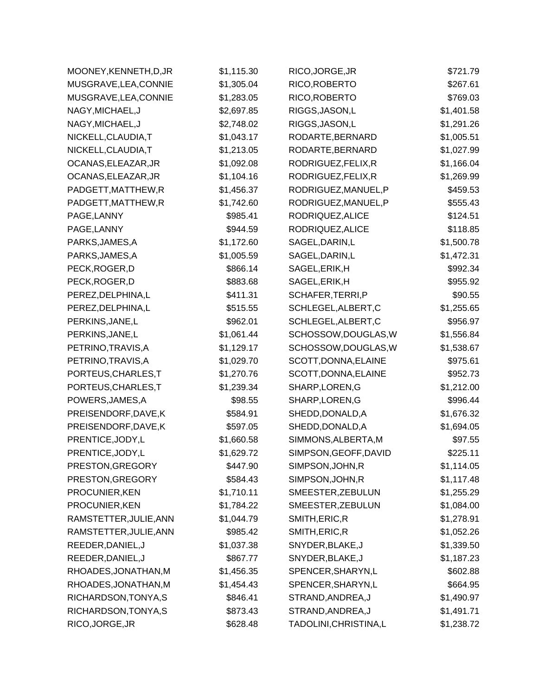| MOONEY, KENNETH, D, JR | \$1,115.30 | RICO, JORGE, JR        | \$721.79   |
|------------------------|------------|------------------------|------------|
| MUSGRAVE, LEA, CONNIE  | \$1,305.04 | RICO, ROBERTO          | \$267.61   |
| MUSGRAVE, LEA, CONNIE  | \$1,283.05 | RICO, ROBERTO          | \$769.03   |
| NAGY, MICHAEL, J       | \$2,697.85 | RIGGS, JASON, L        | \$1,401.58 |
| NAGY, MICHAEL, J       | \$2,748.02 | RIGGS, JASON, L        | \$1,291.26 |
| NICKELL, CLAUDIA, T    | \$1,043.17 | RODARTE, BERNARD       | \$1,005.51 |
| NICKELL, CLAUDIA, T    | \$1,213.05 | RODARTE, BERNARD       | \$1,027.99 |
| OCANAS, ELEAZAR, JR    | \$1,092.08 | RODRIGUEZ, FELIX, R    | \$1,166.04 |
| OCANAS, ELEAZAR, JR    | \$1,104.16 | RODRIGUEZ, FELIX, R    | \$1,269.99 |
| PADGETT, MATTHEW, R    | \$1,456.37 | RODRIGUEZ, MANUEL, P   | \$459.53   |
| PADGETT, MATTHEW, R    | \$1,742.60 | RODRIGUEZ, MANUEL, P   | \$555.43   |
| PAGE, LANNY            | \$985.41   | RODRIQUEZ, ALICE       | \$124.51   |
| PAGE, LANNY            | \$944.59   | RODRIQUEZ, ALICE       | \$118.85   |
| PARKS, JAMES, A        | \$1,172.60 | SAGEL, DARIN, L        | \$1,500.78 |
| PARKS, JAMES, A        | \$1,005.59 | SAGEL, DARIN, L        | \$1,472.31 |
| PECK, ROGER, D         | \$866.14   | SAGEL, ERIK, H         | \$992.34   |
| PECK, ROGER, D         | \$883.68   | SAGEL, ERIK, H         | \$955.92   |
| PEREZ, DELPHINA, L     | \$411.31   | SCHAFER, TERRI, P      | \$90.55    |
| PEREZ, DELPHINA, L     | \$515.55   | SCHLEGEL, ALBERT, C    | \$1,255.65 |
| PERKINS, JANE, L       | \$962.01   | SCHLEGEL, ALBERT, C    | \$956.97   |
| PERKINS, JANE, L       | \$1,061.44 | SCHOSSOW, DOUGLAS, W   | \$1,556.84 |
| PETRINO, TRAVIS, A     | \$1,129.17 | SCHOSSOW, DOUGLAS, W   | \$1,538.67 |
| PETRINO, TRAVIS, A     | \$1,029.70 | SCOTT, DONNA, ELAINE   | \$975.61   |
| PORTEUS, CHARLES, T    | \$1,270.76 | SCOTT, DONNA, ELAINE   | \$952.73   |
| PORTEUS, CHARLES, T    | \$1,239.34 | SHARP, LOREN, G        | \$1,212.00 |
| POWERS, JAMES, A       | \$98.55    | SHARP, LOREN, G        | \$996.44   |
| PREISENDORF, DAVE, K   | \$584.91   | SHEDD, DONALD, A       | \$1,676.32 |
| PREISENDORF, DAVE, K   | \$597.05   | SHEDD, DONALD, A       | \$1,694.05 |
| PRENTICE, JODY, L      | \$1,660.58 | SIMMONS, ALBERTA, M    | \$97.55    |
| PRENTICE, JODY, L      | \$1,629.72 | SIMPSON, GEOFF, DAVID  | \$225.11   |
| PRESTON, GREGORY       | \$447.90   | SIMPSON, JOHN, R       | \$1,114.05 |
| PRESTON, GREGORY       | \$584.43   | SIMPSON, JOHN, R       | \$1,117.48 |
| PROCUNIER, KEN         | \$1,710.11 | SMEESTER, ZEBULUN      | \$1,255.29 |
| PROCUNIER, KEN         | \$1,784.22 | SMEESTER, ZEBULUN      | \$1,084.00 |
| RAMSTETTER, JULIE, ANN | \$1,044.79 | SMITH, ERIC, R         | \$1,278.91 |
| RAMSTETTER, JULIE, ANN | \$985.42   | SMITH, ERIC, R         | \$1,052.26 |
| REEDER, DANIEL, J      | \$1,037.38 | SNYDER, BLAKE, J       | \$1,339.50 |
| REEDER, DANIEL, J      | \$867.77   | SNYDER, BLAKE, J       | \$1,187.23 |
| RHOADES, JONATHAN, M   | \$1,456.35 | SPENCER, SHARYN, L     | \$602.88   |
| RHOADES, JONATHAN, M   | \$1,454.43 | SPENCER, SHARYN, L     | \$664.95   |
| RICHARDSON, TONYA, S   | \$846.41   | STRAND, ANDREA, J      | \$1,490.97 |
| RICHARDSON, TONYA, S   | \$873.43   | STRAND, ANDREA, J      | \$1,491.71 |
| RICO, JORGE, JR        | \$628.48   | TADOLINI, CHRISTINA, L | \$1,238.72 |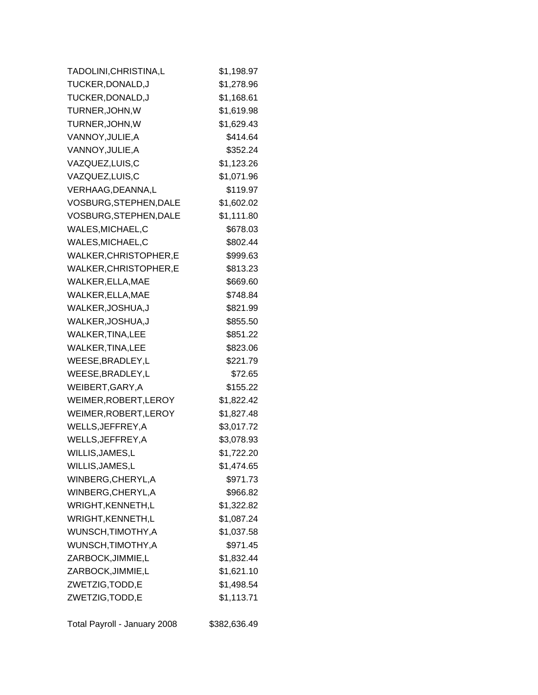| TADOLINI, CHRISTINA, L | \$1,198.97 |
|------------------------|------------|
| TUCKER, DONALD, J      | \$1,278.96 |
| TUCKER, DONALD, J      | \$1,168.61 |
| TURNER, JOHN, W        | \$1,619.98 |
| TURNER, JOHN, W        | \$1,629.43 |
| VANNOY, JULIE, A       | \$414.64   |
| VANNOY, JULIE, A       | \$352.24   |
| VAZQUEZ,LUIS,C         | \$1,123.26 |
| VAZQUEZ,LUIS,C         | \$1,071.96 |
| VERHAAG, DEANNA, L     | \$119.97   |
| VOSBURG, STEPHEN, DALE | \$1,602.02 |
| VOSBURG, STEPHEN, DALE | \$1,111.80 |
| WALES, MICHAEL, C      | \$678.03   |
| WALES, MICHAEL, C      | \$802.44   |
| WALKER, CHRISTOPHER, E | \$999.63   |
| WALKER, CHRISTOPHER, E | \$813.23   |
| WALKER, ELLA, MAE      | \$669.60   |
| WALKER, ELLA, MAE      | \$748.84   |
| WALKER, JOSHUA, J      | \$821.99   |
| WALKER, JOSHUA, J      | \$855.50   |
| WALKER, TINA, LEE      | \$851.22   |
| WALKER, TINA, LEE      | \$823.06   |
| WEESE, BRADLEY, L      | \$221.79   |
| WEESE, BRADLEY, L      | \$72.65    |
| WEIBERT, GARY, A       | \$155.22   |
| WEIMER, ROBERT, LEROY  | \$1,822.42 |
| WEIMER, ROBERT, LEROY  | \$1,827.48 |
| WELLS, JEFFREY, A      | \$3,017.72 |
| WELLS, JEFFREY, A      | \$3,078.93 |
| WILLIS, JAMES, L       | \$1,722.20 |
| WILLIS, JAMES, L       | \$1,474.65 |
| WINBERG, CHERYL, A     | \$971.73   |
| WINBERG, CHERYL, A     | \$966.82   |
| WRIGHT, KENNETH, L     | \$1,322.82 |
| WRIGHT, KENNETH, L     | \$1,087.24 |
| WUNSCH, TIMOTHY, A     | \$1,037.58 |
| WUNSCH, TIMOTHY, A     | \$971.45   |
| ZARBOCK, JIMMIE, L     | \$1,832.44 |
| ZARBOCK, JIMMIE, L     | \$1,621.10 |
| ZWETZIG, TODD, E       | \$1,498.54 |
| ZWETZIG, TODD, E       | \$1,113.71 |
|                        |            |

Total Payroll - January 2008 \$382,636.49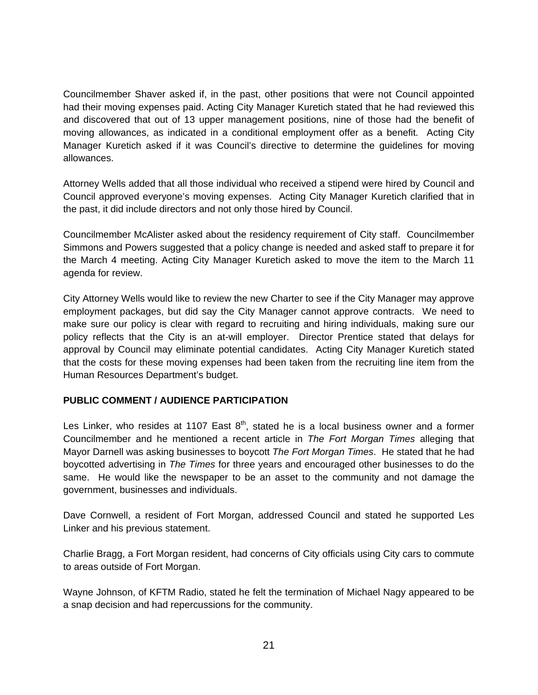Councilmember Shaver asked if, in the past, other positions that were not Council appointed had their moving expenses paid. Acting City Manager Kuretich stated that he had reviewed this and discovered that out of 13 upper management positions, nine of those had the benefit of moving allowances, as indicated in a conditional employment offer as a benefit. Acting City Manager Kuretich asked if it was Council's directive to determine the guidelines for moving allowances.

Attorney Wells added that all those individual who received a stipend were hired by Council and Council approved everyone's moving expenses. Acting City Manager Kuretich clarified that in the past, it did include directors and not only those hired by Council.

Councilmember McAlister asked about the residency requirement of City staff. Councilmember Simmons and Powers suggested that a policy change is needed and asked staff to prepare it for the March 4 meeting. Acting City Manager Kuretich asked to move the item to the March 11 agenda for review.

City Attorney Wells would like to review the new Charter to see if the City Manager may approve employment packages, but did say the City Manager cannot approve contracts. We need to make sure our policy is clear with regard to recruiting and hiring individuals, making sure our policy reflects that the City is an at-will employer. Director Prentice stated that delays for approval by Council may eliminate potential candidates. Acting City Manager Kuretich stated that the costs for these moving expenses had been taken from the recruiting line item from the Human Resources Department's budget.

# **PUBLIC COMMENT / AUDIENCE PARTICIPATION**

Les Linker, who resides at 1107 East  $8<sup>th</sup>$ , stated he is a local business owner and a former Councilmember and he mentioned a recent article in *The Fort Morgan Times* alleging that Mayor Darnell was asking businesses to boycott *The Fort Morgan Times*. He stated that he had boycotted advertising in *The Times* for three years and encouraged other businesses to do the same. He would like the newspaper to be an asset to the community and not damage the government, businesses and individuals.

Dave Cornwell, a resident of Fort Morgan, addressed Council and stated he supported Les Linker and his previous statement.

Charlie Bragg, a Fort Morgan resident, had concerns of City officials using City cars to commute to areas outside of Fort Morgan.

Wayne Johnson, of KFTM Radio, stated he felt the termination of Michael Nagy appeared to be a snap decision and had repercussions for the community.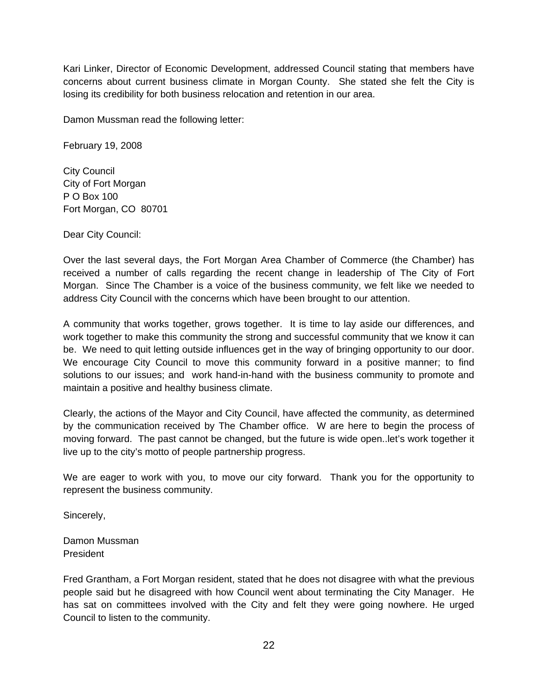Kari Linker, Director of Economic Development, addressed Council stating that members have concerns about current business climate in Morgan County. She stated she felt the City is losing its credibility for both business relocation and retention in our area.

Damon Mussman read the following letter:

February 19, 2008

City Council City of Fort Morgan P O Box 100 Fort Morgan, CO 80701

Dear City Council:

Over the last several days, the Fort Morgan Area Chamber of Commerce (the Chamber) has received a number of calls regarding the recent change in leadership of The City of Fort Morgan. Since The Chamber is a voice of the business community, we felt like we needed to address City Council with the concerns which have been brought to our attention.

A community that works together, grows together. It is time to lay aside our differences, and work together to make this community the strong and successful community that we know it can be. We need to quit letting outside influences get in the way of bringing opportunity to our door. We encourage City Council to move this community forward in a positive manner; to find solutions to our issues; and work hand-in-hand with the business community to promote and maintain a positive and healthy business climate.

Clearly, the actions of the Mayor and City Council, have affected the community, as determined by the communication received by The Chamber office. W are here to begin the process of moving forward. The past cannot be changed, but the future is wide open..let's work together it live up to the city's motto of people partnership progress.

We are eager to work with you, to move our city forward. Thank you for the opportunity to represent the business community.

Sincerely,

Damon Mussman President

Fred Grantham, a Fort Morgan resident, stated that he does not disagree with what the previous people said but he disagreed with how Council went about terminating the City Manager. He has sat on committees involved with the City and felt they were going nowhere. He urged Council to listen to the community.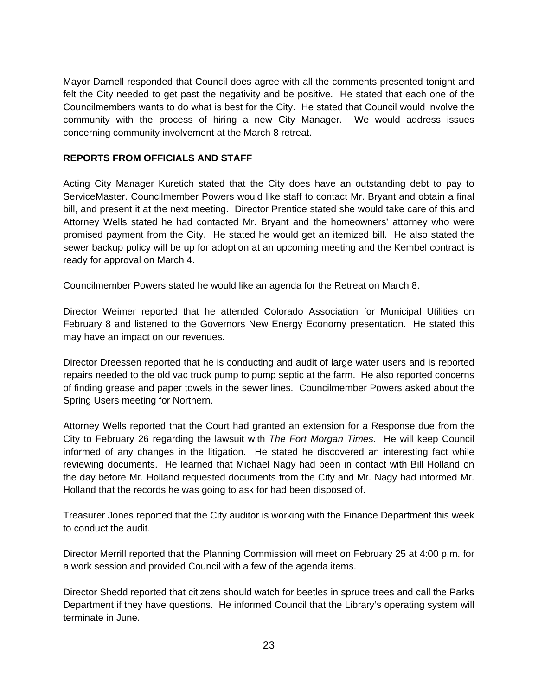Mayor Darnell responded that Council does agree with all the comments presented tonight and felt the City needed to get past the negativity and be positive. He stated that each one of the Councilmembers wants to do what is best for the City. He stated that Council would involve the community with the process of hiring a new City Manager. We would address issues concerning community involvement at the March 8 retreat.

## **REPORTS FROM OFFICIALS AND STAFF**

Acting City Manager Kuretich stated that the City does have an outstanding debt to pay to ServiceMaster. Councilmember Powers would like staff to contact Mr. Bryant and obtain a final bill, and present it at the next meeting. Director Prentice stated she would take care of this and Attorney Wells stated he had contacted Mr. Bryant and the homeowners' attorney who were promised payment from the City. He stated he would get an itemized bill. He also stated the sewer backup policy will be up for adoption at an upcoming meeting and the Kembel contract is ready for approval on March 4.

Councilmember Powers stated he would like an agenda for the Retreat on March 8.

Director Weimer reported that he attended Colorado Association for Municipal Utilities on February 8 and listened to the Governors New Energy Economy presentation. He stated this may have an impact on our revenues.

Director Dreessen reported that he is conducting and audit of large water users and is reported repairs needed to the old vac truck pump to pump septic at the farm. He also reported concerns of finding grease and paper towels in the sewer lines. Councilmember Powers asked about the Spring Users meeting for Northern.

Attorney Wells reported that the Court had granted an extension for a Response due from the City to February 26 regarding the lawsuit with *The Fort Morgan Times*. He will keep Council informed of any changes in the litigation. He stated he discovered an interesting fact while reviewing documents. He learned that Michael Nagy had been in contact with Bill Holland on the day before Mr. Holland requested documents from the City and Mr. Nagy had informed Mr. Holland that the records he was going to ask for had been disposed of.

Treasurer Jones reported that the City auditor is working with the Finance Department this week to conduct the audit.

Director Merrill reported that the Planning Commission will meet on February 25 at 4:00 p.m. for a work session and provided Council with a few of the agenda items.

Director Shedd reported that citizens should watch for beetles in spruce trees and call the Parks Department if they have questions. He informed Council that the Library's operating system will terminate in June.